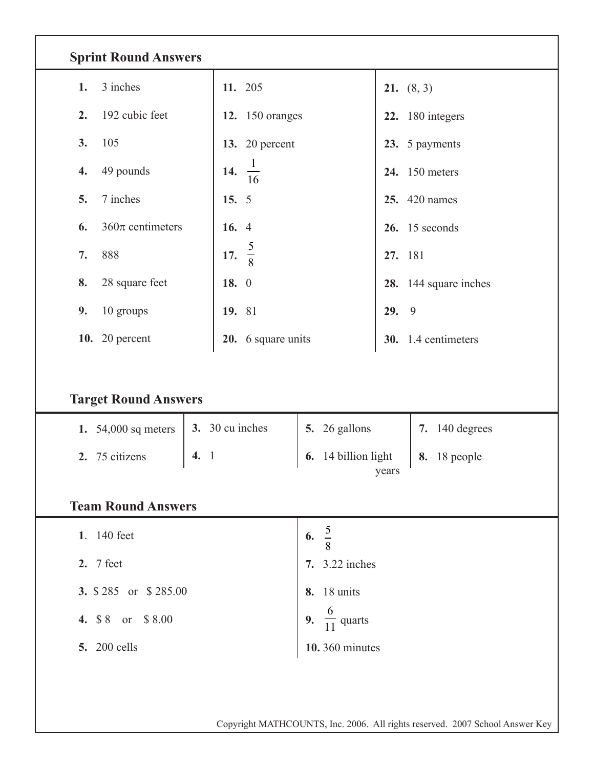| <b>Sprint Round Answers</b>                                          |                        |                                         |                                       |  |  |  |  |  |  |  |  |
|----------------------------------------------------------------------|------------------------|-----------------------------------------|---------------------------------------|--|--|--|--|--|--|--|--|
| 3 inches<br>1.                                                       | 11. 205                |                                         | <b>21.</b> $(8, 3)$                   |  |  |  |  |  |  |  |  |
| 192 cubic feet<br>2.                                                 | <b>12.</b> 150 oranges |                                         | 22. 180 integers                      |  |  |  |  |  |  |  |  |
| 105<br>3.                                                            | 13. 20 percent         |                                         | 23. 5 payments                        |  |  |  |  |  |  |  |  |
| 49 pounds<br>4.                                                      | 14.<br>$\frac{1}{16}$  |                                         | <b>24.</b> 150 meters                 |  |  |  |  |  |  |  |  |
| 7 inches<br>5.                                                       | 15. $5$                |                                         | <b>25.</b> 420 names                  |  |  |  |  |  |  |  |  |
| $360\pi$ centimeters<br>6.                                           | 16. 4                  |                                         | $26.$ 15 seconds                      |  |  |  |  |  |  |  |  |
| 888<br>7.                                                            | 17. $\frac{5}{8}$      |                                         | 27. 181                               |  |  |  |  |  |  |  |  |
| 28 square feet<br>8.                                                 | 18. 0                  |                                         | 28. 144 square inches                 |  |  |  |  |  |  |  |  |
| 10 groups<br>9.                                                      | 19. 81                 |                                         | 9<br>29.                              |  |  |  |  |  |  |  |  |
| <b>10.</b> 20 percent                                                | 20. 6 square units     |                                         | 30. 1.4 centimeters                   |  |  |  |  |  |  |  |  |
| <b>Target Round Answers</b><br>1. 54,000 sq meters<br>2. 75 citizens | 3. 30 cu inches<br>4.1 | 5. 26 gallons<br>14 billion light<br>6. | 7. 140 degrees<br><b>8.</b> 18 people |  |  |  |  |  |  |  |  |
| years<br><b>Team Round Answers</b>                                   |                        |                                         |                                       |  |  |  |  |  |  |  |  |
| 1. 140 feet                                                          |                        | 6. $\frac{5}{8}$                        |                                       |  |  |  |  |  |  |  |  |
| 2. 7 feet                                                            |                        | 7. 3.22 inches                          |                                       |  |  |  |  |  |  |  |  |
| 3. \$285 or \$285.00                                                 |                        | <b>8.</b> 18 units                      |                                       |  |  |  |  |  |  |  |  |
| 4. \$8 or \$8.00                                                     |                        | 9. $\frac{6}{11}$ quarts                |                                       |  |  |  |  |  |  |  |  |
| <b>5.</b> 200 cells                                                  |                        | 10.360 minutes                          |                                       |  |  |  |  |  |  |  |  |
|                                                                      |                        |                                         |                                       |  |  |  |  |  |  |  |  |

Copyright MATHCOUNTS, Inc. 2006. All rights reserved. 2007 School Answer Key